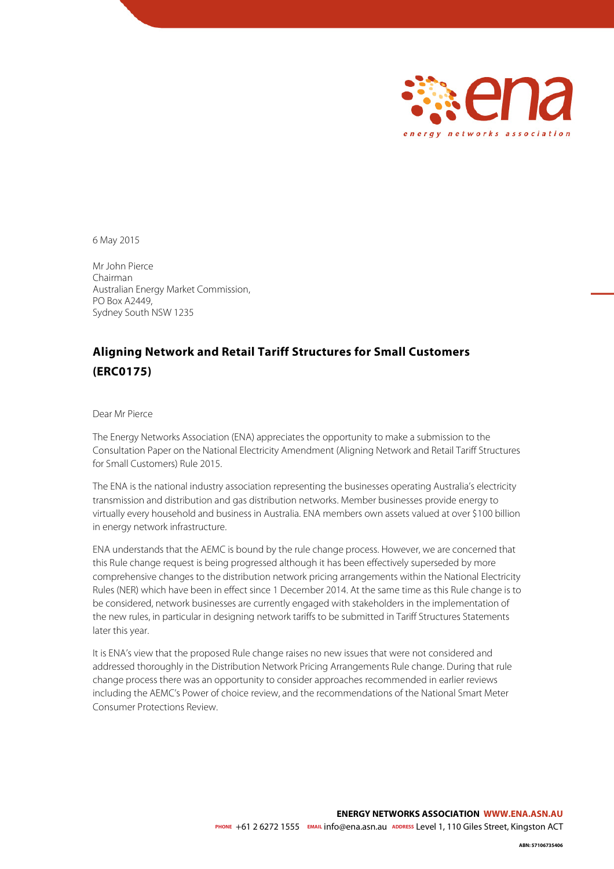

6 May 2015

Mr John Pierce Chairman Australian Energy Market Commission, PO Box A2449, Sydney South NSW 1235

## **Aligning Network and Retail Tariff Structures for Small Customers (ERC0175)**

#### Dear Mr Pierce

The Energy Networks Association (ENA) appreciates the opportunity to make a submission to the Consultation Paper on the National Electricity Amendment (Aligning Network and Retail Tariff Structures for Small Customers) Rule 2015.

The ENA is the national industry association representing the businesses operating Australia's electricity transmission and distribution and gas distribution networks. Member businesses provide energy to virtually every household and business in Australia. ENA members own assets valued at over \$100 billion in energy network infrastructure.

ENA understands that the AEMC is bound by the rule change process. However, we are concerned that this Rule change request is being progressed although it has been effectively superseded by more comprehensive changes to the distribution network pricing arrangements within the National Electricity Rules (NER) which have been in effect since 1 December 2014. At the same time as this Rule change is to be considered, network businesses are currently engaged with stakeholders in the implementation of the new rules, in particular in designing network tariffs to be submitted in Tariff Structures Statements later this year.

It is ENA's view that the proposed Rule change raises no new issues that were not considered and addressed thoroughly in the Distribution Network Pricing Arrangements Rule change. During that rule change process there was an opportunity to consider approaches recommended in earlier reviews including the AEMC's Power of choice review, and the recommendations of the National Smart Meter Consumer Protections Review.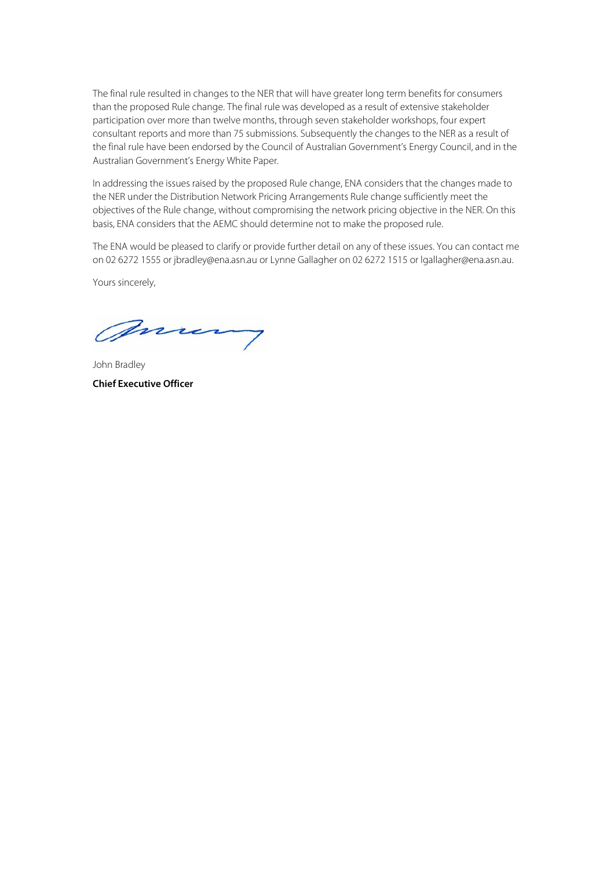The final rule resulted in changes to the NER that will have greater long term benefits for consumers than the proposed Rule change. The final rule was developed as a result of extensive stakeholder participation over more than twelve months, through seven stakeholder workshops, four expert consultant reports and more than 75 submissions. Subsequently the changes to the NER as a result of the final rule have been endorsed by the Council of Australian Government's Energy Council, and in the Australian Government's Energy White Paper.

In addressing the issues raised by the proposed Rule change, ENA considers that the changes made to the NER under the Distribution Network Pricing Arrangements Rule change sufficiently meet the objectives of the Rule change, without compromising the network pricing objective in the NER. On this basis, ENA considers that the AEMC should determine not to make the proposed rule.

The ENA would be pleased to clarify or provide further detail on any of these issues. You can contact me on 02 6272 1555 or jbradley@ena.asn.au or Lynne Gallagher on 02 6272 1515 or lgallagher@ena.asn.au.

Yours sincerely,

mum

<span id="page-1-0"></span>John Bradley **Chief Executive Officer**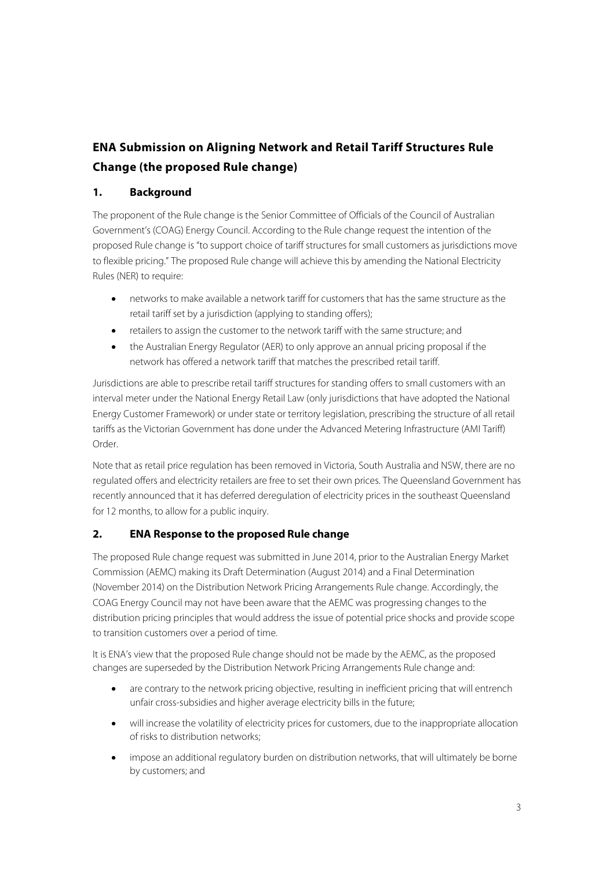# **ENA Submission on Aligning Network and Retail Tariff Structures Rule Change (the proposed Rule change)**

## **1. Background**

The proponent of the Rule change is the Senior Committee of Officials of the Council of Australian Government's (COAG) Energy Council. According to the Rule change request the intention of the proposed Rule change is "to support choice of tariff structures for small customers as jurisdictions move to flexible pricing." The proposed Rule change will achieve this by amending the National Electricity Rules (NER) to require:

- networks to make available a network tariff for customers that has the same structure as the retail tariff set by a jurisdiction (applying to standing offers);
- retailers to assign the customer to the network tariff with the same structure; and
- the Australian Energy Regulator (AER) to only approve an annual pricing proposal if the network has offered a network tariff that matches the prescribed retail tariff.

Jurisdictions are able to prescribe retail tariff structures for standing offers to small customers with an interval meter under the National Energy Retail Law (only jurisdictions that have adopted the National Energy Customer Framework) or under state or territory legislation, prescribing the structure of all retail tariffs as the Victorian Government has done under the Advanced Metering Infrastructure (AMI Tariff) Order.

Note that as retail price regulation has been removed in Victoria, South Australia and NSW, there are no regulated offers and electricity retailers are free to set their own prices. The Queensland Government has recently announced that it has deferred deregulation of electricity prices in the southeast Queensland for 12 months, to allow for a public inquiry.

## **2. ENA Response to the proposed Rule change**

The proposed Rule change request was submitted in June 2014, prior to the Australian Energy Market Commission (AEMC) making its Draft Determination (August 2014) and a Final Determination (November 2014) on the Distribution Network Pricing Arrangements Rule change. Accordingly, the COAG Energy Council may not have been aware that the AEMC was progressing changes to the distribution pricing principles that would address the issue of potential price shocks and provide scope to transition customers over a period of time.

It is ENA's view that the proposed Rule change should not be made by the AEMC, as the proposed changes are superseded by the Distribution Network Pricing Arrangements Rule change and:

- are contrary to the network pricing objective, resulting in inefficient pricing that will entrench unfair cross-subsidies and higher average electricity bills in the future;
- will increase the volatility of electricity prices for customers, due to the inappropriate allocation of risks to distribution networks;
- impose an additional regulatory burden on distribution networks, that will ultimately be borne by customers; and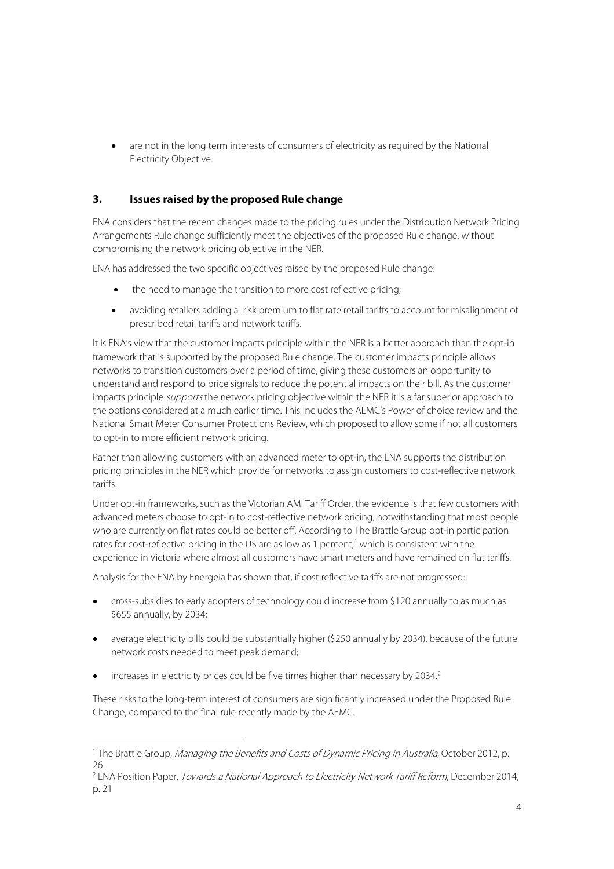• are not in the long term interests of consumers of electricity as required by the National Electricity Objective.

## **3. Issues raised by the proposed Rule change**

ENA considers that the recent changes made to the pricing rules under the Distribution Network Pricing Arrangements Rule change sufficiently meet the objectives of the proposed Rule change, without compromising the network pricing objective in the NER.

ENA has addressed the two specific objectives raised by the proposed Rule change:

- the need to manage the transition to more cost reflective pricing;
- avoiding retailers adding a risk premium to flat rate retail tariffs to account for misalignment of prescribed retail tariffs and network tariffs.

It is ENA's view that the customer impacts principle within the NER is a better approach than the opt-in framework that is supported by the proposed Rule change. The customer impacts principle allows networks to transition customers over a period of time, giving these customers an opportunity to understand and respond to price signals to reduce the potential impacts on their bill. As the customer impacts principle *supports* the network pricing objective within the NER it is a far superior approach to the options considered at a much earlier time. This includes the AEMC's Power of choice review and the National Smart Meter Consumer Protections Review, which proposed to allow some if not all customers to opt-in to more efficient network pricing.

Rather than allowing customers with an advanced meter to opt-in, the ENA supports the distribution pricing principles in the NER which provide for networks to assign customers to cost-reflective network tariffs.

Under opt-in frameworks, such as the Victorian AMI Tariff Order, the evidence is that few customers with advanced meters choose to opt-in to cost-reflective network pricing, notwithstanding that most people who are currently on flat rates could be better off. According to The Brattle Group opt-in participation rates for cost-reflective pricing in the US are as low as [1](#page-1-0) percent,<sup>1</sup> which is consistent with the experience in Victoria where almost all customers have smart meters and have remained on flat tariffs.

Analysis for the ENA by Energeia has shown that, if cost reflective tariffs are not progressed:

- cross-subsidies to early adopters of technology could increase from \$120 annually to as much as \$655 annually, by 2034;
- average electricity bills could be substantially higher (\$250 annually by 2034), because of the future network costs needed to meet peak demand;
- increases in electricity prices could be five times higher than necessary by [2](#page-3-0)034.<sup>2</sup>

<span id="page-3-1"></span> $\overline{a}$ 

These risks to the long-term interest of consumers are significantly increased under the Proposed Rule Change, compared to the final rule recently made by the AEMC.

<sup>&</sup>lt;sup>1</sup> The Brattle Group, Managing the Benefits and Costs of Dynamic Pricing in Australia, October 2012, p. 26

<span id="page-3-0"></span><sup>&</sup>lt;sup>2</sup> ENA Position Paper, *Towards a National Approach to Electricity Network Tariff Reform*, December 2014, p. 21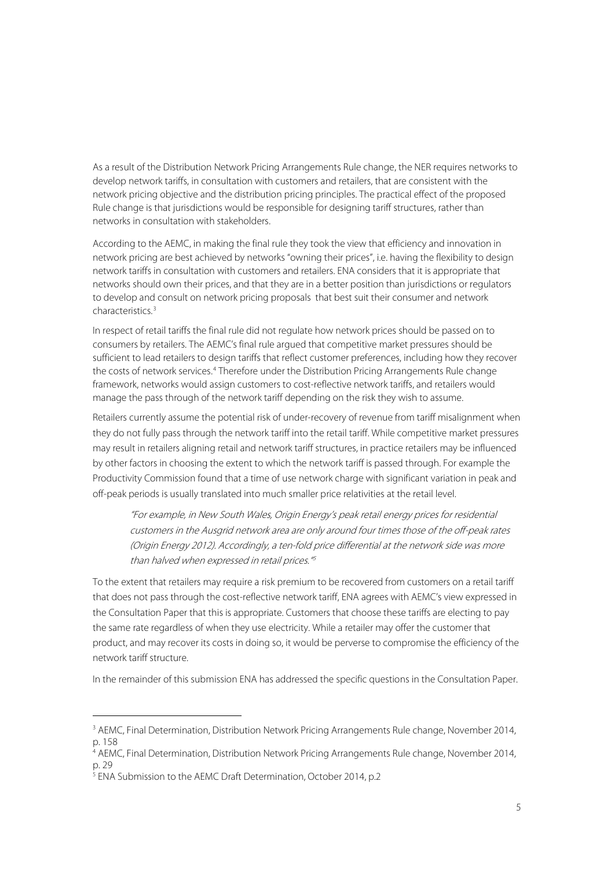As a result of the Distribution Network Pricing Arrangements Rule change, the NER requires networks to develop network tariffs, in consultation with customers and retailers, that are consistent with the network pricing objective and the distribution pricing principles. The practical effect of the proposed Rule change is that jurisdictions would be responsible for designing tariff structures, rather than networks in consultation with stakeholders.

According to the AEMC, in making the final rule they took the view that efficiency and innovation in network pricing are best achieved by networks "owning their prices", i.e. having the flexibility to design network tariffs in consultation with customers and retailers. ENA considers that it is appropriate that networks should own their prices, and that they are in a better position than jurisdictions or regulators to develop and consult on network pricing proposals that best suit their consumer and network characteristics. [3](#page-3-1)

In respect of retail tariffs the final rule did not regulate how network prices should be passed on to consumers by retailers. The AEMC's final rule argued that competitive market pressures should be sufficient to lead retailers to design tariffs that reflect customer preferences, including how they recover the costs of network services.[4](#page-4-0) Therefore under the Distribution Pricing Arrangements Rule change framework, networks would assign customers to cost-reflective network tariffs, and retailers would manage the pass through of the network tariff depending on the risk they wish to assume.

Retailers currently assume the potential risk of under-recovery of revenue from tariff misalignment when they do not fully pass through the network tariff into the retail tariff. While competitive market pressures may result in retailers aligning retail and network tariff structures, in practice retailers may be influenced by other factors in choosing the extent to which the network tariff is passed through. For example the Productivity Commission found that a time of use network charge with significant variation in peak and off-peak periods is usually translated into much smaller price relativities at the retail level.

"For example, in New South Wales, Origin Energy's peak retail energy prices for residential customers in the Ausgrid network area are only around four times those of the off-peak rates (Origin Energy 2012). Accordingly, a ten-fold price differential at the network side was more than halved when expressed in retail prices."[5](#page-4-1)

To the extent that retailers may require a risk premium to be recovered from customers on a retail tariff that does not pass through the cost-reflective network tariff, ENA agrees with AEMC's view expressed in the Consultation Paper that this is appropriate. Customers that choose these tariffs are electing to pay the same rate regardless of when they use electricity. While a retailer may offer the customer that product, and may recover its costs in doing so, it would be perverse to compromise the efficiency of the network tariff structure.

In the remainder of this submission ENA has addressed the specific questions in the Consultation Paper.

 $\overline{a}$ 

<sup>&</sup>lt;sup>3</sup> AEMC, Final Determination, Distribution Network Pricing Arrangements Rule change, November 2014, p. 158

<span id="page-4-0"></span><sup>4</sup> AEMC, Final Determination, Distribution Network Pricing Arrangements Rule change, November 2014, p. 29

<span id="page-4-1"></span><sup>5</sup> ENA Submission to the AEMC Draft Determination, October 2014, p.2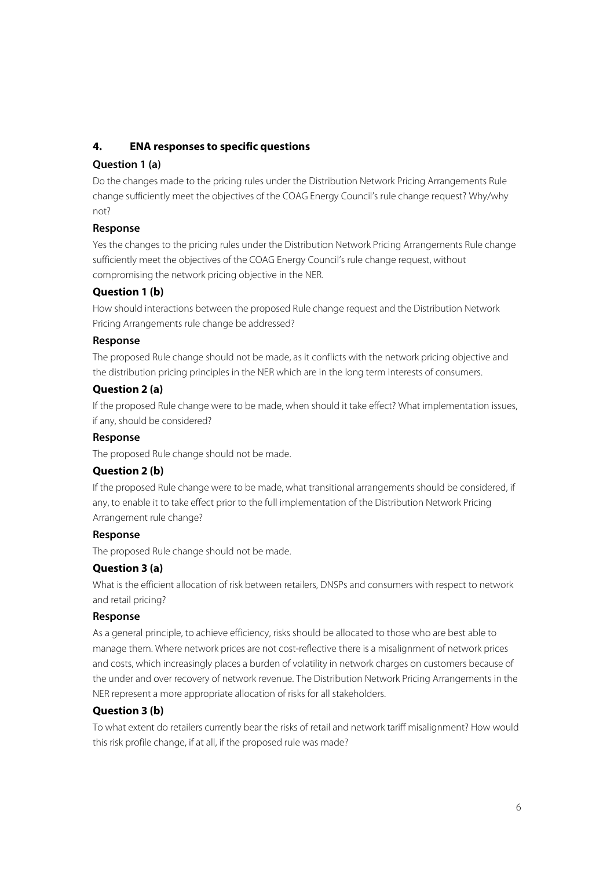## **4. ENA responses to specific questions**

## **Question 1 (a)**

Do the changes made to the pricing rules under the Distribution Network Pricing Arrangements Rule change sufficiently meet the objectives of the COAG Energy Council's rule change request? Why/why not?

## **Response**

Yes the changes to the pricing rules under the Distribution Network Pricing Arrangements Rule change sufficiently meet the objectives of the COAG Energy Council's rule change request, without compromising the network pricing objective in the NER.

## **Question 1 (b)**

How should interactions between the proposed Rule change request and the Distribution Network Pricing Arrangements rule change be addressed?

### **Response**

The proposed Rule change should not be made, as it conflicts with the network pricing objective and the distribution pricing principles in the NER which are in the long term interests of consumers.

## **Question 2 (a)**

If the proposed Rule change were to be made, when should it take effect? What implementation issues, if any, should be considered?

#### **Response**

The proposed Rule change should not be made.

## **Question 2 (b)**

If the proposed Rule change were to be made, what transitional arrangements should be considered, if any, to enable it to take effect prior to the full implementation of the Distribution Network Pricing Arrangement rule change?

#### **Response**

The proposed Rule change should not be made.

## **Question 3 (a)**

What is the efficient allocation of risk between retailers, DNSPs and consumers with respect to network and retail pricing?

#### **Response**

As a general principle, to achieve efficiency, risks should be allocated to those who are best able to manage them. Where network prices are not cost-reflective there is a misalignment of network prices and costs, which increasingly places a burden of volatility in network charges on customers because of the under and over recovery of network revenue. The Distribution Network Pricing Arrangements in the NER represent a more appropriate allocation of risks for all stakeholders.

## **Question 3 (b)**

To what extent do retailers currently bear the risks of retail and network tariff misalignment? How would this risk profile change, if at all, if the proposed rule was made?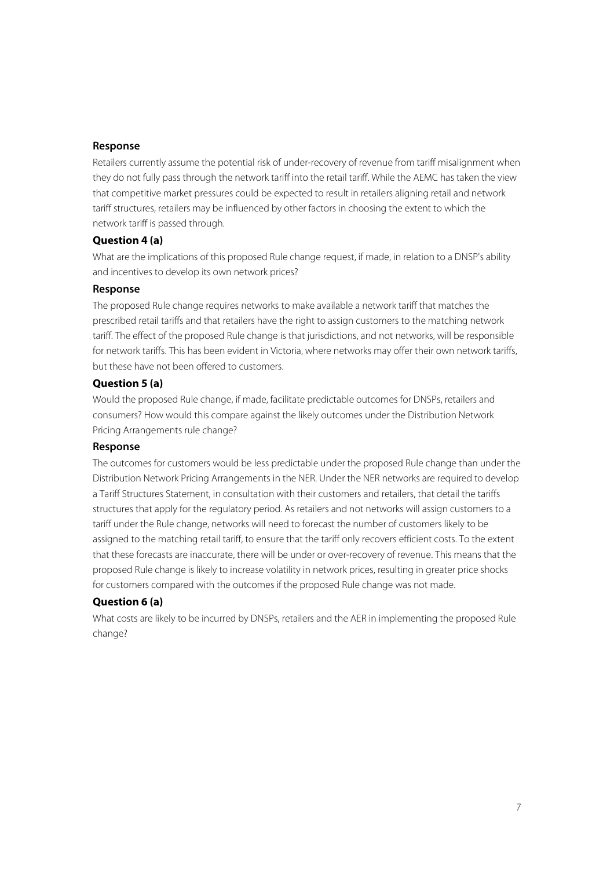#### **Response**

Retailers currently assume the potential risk of under-recovery of revenue from tariff misalignment when they do not fully pass through the network tariff into the retail tariff. While the AEMC has taken the view that competitive market pressures could be expected to result in retailers aligning retail and network tariff structures, retailers may be influenced by other factors in choosing the extent to which the network tariff is passed through.

### **Question 4 (a)**

What are the implications of this proposed Rule change request, if made, in relation to a DNSP's ability and incentives to develop its own network prices?

#### **Response**

The proposed Rule change requires networks to make available a network tariff that matches the prescribed retail tariffs and that retailers have the right to assign customers to the matching network tariff. The effect of the proposed Rule change is that jurisdictions, and not networks, will be responsible for network tariffs. This has been evident in Victoria, where networks may offer their own network tariffs, but these have not been offered to customers.

## **Question 5 (a)**

Would the proposed Rule change, if made, facilitate predictable outcomes for DNSPs, retailers and consumers? How would this compare against the likely outcomes under the Distribution Network Pricing Arrangements rule change?

#### **Response**

The outcomes for customers would be less predictable under the proposed Rule change than under the Distribution Network Pricing Arrangements in the NER. Under the NER networks are required to develop a Tariff Structures Statement, in consultation with their customers and retailers, that detail the tariffs structures that apply for the regulatory period. As retailers and not networks will assign customers to a tariff under the Rule change, networks will need to forecast the number of customers likely to be assigned to the matching retail tariff, to ensure that the tariff only recovers efficient costs. To the extent that these forecasts are inaccurate, there will be under or over-recovery of revenue. This means that the proposed Rule change is likely to increase volatility in network prices, resulting in greater price shocks for customers compared with the outcomes if the proposed Rule change was not made.

## **Question 6 (a)**

What costs are likely to be incurred by DNSPs, retailers and the AER in implementing the proposed Rule change?